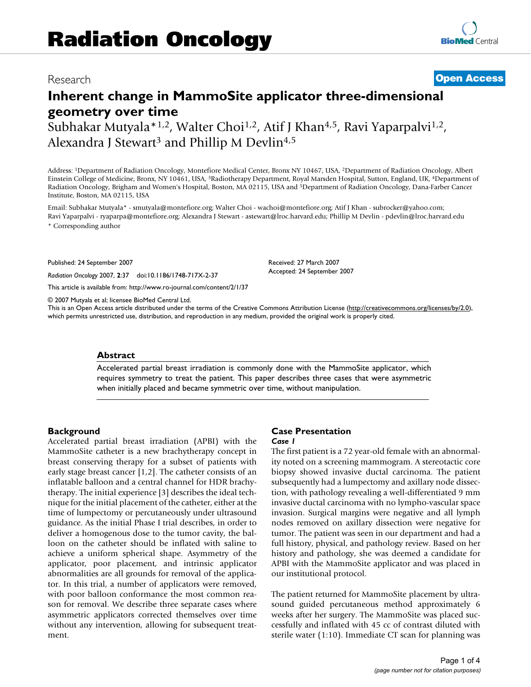## Research **[Open Access](http://www.biomedcentral.com/info/about/charter/)**

# **Inherent change in MammoSite applicator three-dimensional geometry over time**

Subhakar Mutyala\*<sup>1,2</sup>, Walter Choi<sup>1,2</sup>, Atif J Khan<sup>4,5</sup>, Ravi Yaparpalvi<sup>1,2</sup>, Alexandra J Stewart<sup>3</sup> and Phillip M Devlin<sup>4,5</sup>

Address: 1Department of Radiation Oncology, Montefiore Medical Center, Bronx NY 10467, USA, 2Department of Radiation Oncology, Albert Einstein College of Medicine, Bronx, NY 10461, USA, 3Radiotherapy Department, Royal Marsden Hospital, Sutton, England, UK, 4Department of Radiation Oncology, Brigham and Women's Hospital, Boston, MA 02115, USA and 5Department of Radiation Oncology, Dana-Farber Cancer Institute, Boston, MA 02115, USA

Email: Subhakar Mutyala\* - smutyala@montefiore.org; Walter Choi - wachoi@montefiore.org; Atif J Khan - subrocker@yahoo.com; Ravi Yaparpalvi - ryaparpa@montefiore.org; Alexandra J Stewart - astewart@lroc.harvard.edu; Phillip M Devlin - pdevlin@lroc.harvard.edu \* Corresponding author

Published: 24 September 2007

*Radiation Oncology* 2007, **2**:37 doi:10.1186/1748-717X-2-37

[This article is available from: http://www.ro-journal.com/content/2/1/37](http://www.ro-journal.com/content/2/1/37)

© 2007 Mutyala et al; licensee BioMed Central Ltd.

This is an Open Access article distributed under the terms of the Creative Commons Attribution License [\(http://creativecommons.org/licenses/by/2.0\)](http://creativecommons.org/licenses/by/2.0), which permits unrestricted use, distribution, and reproduction in any medium, provided the original work is properly cited.

#### **Abstract**

Accelerated partial breast irradiation is commonly done with the MammoSite applicator, which requires symmetry to treat the patient. This paper describes three cases that were asymmetric when initially placed and became symmetric over time, without manipulation.

#### **Background**

Accelerated partial breast irradiation (APBI) with the MammoSite catheter is a new brachytherapy concept in breast conserving therapy for a subset of patients with early stage breast cancer [1,2]. The catheter consists of an inflatable balloon and a central channel for HDR brachytherapy. The initial experience [3] describes the ideal technique for the initial placement of the catheter, either at the time of lumpectomy or percutaneously under ultrasound guidance. As the initial Phase I trial describes, in order to deliver a homogenous dose to the tumor cavity, the balloon on the catheter should be inflated with saline to achieve a uniform spherical shape. Asymmetry of the applicator, poor placement, and intrinsic applicator abnormalities are all grounds for removal of the applicator. In this trial, a number of applicators were removed, with poor balloon conformance the most common reason for removal. We describe three separate cases where asymmetric applicators corrected themselves over time without any intervention, allowing for subsequent treatment.

#### **Case Presentation** *Case 1*

Received: 27 March 2007 Accepted: 24 September 2007

The first patient is a 72 year-old female with an abnormality noted on a screening mammogram. A stereotactic core biopsy showed invasive ductal carcinoma. The patient subsequently had a lumpectomy and axillary node dissection, with pathology revealing a well-differentiated 9 mm invasive ductal carcinoma with no lympho-vascular space invasion. Surgical margins were negative and all lymph nodes removed on axillary dissection were negative for tumor. The patient was seen in our department and had a full history, physical, and pathology review. Based on her history and pathology, she was deemed a candidate for APBI with the MammoSite applicator and was placed in our institutional protocol.

The patient returned for MammoSite placement by ultrasound guided percutaneous method approximately 6 weeks after her surgery. The MammoSite was placed successfully and inflated with 45 cc of contrast diluted with sterile water (1:10). Immediate CT scan for planning was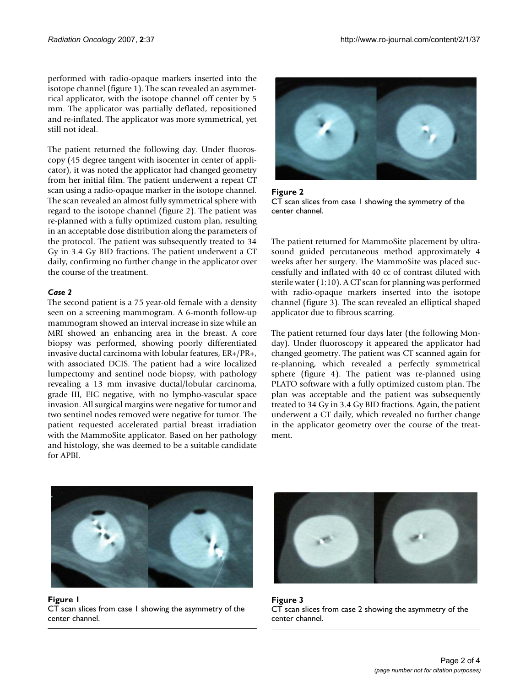performed with radio-opaque markers inserted into the isotope channel (figure 1). The scan revealed an asymmetrical applicator, with the isotope channel off center by 5 mm. The applicator was partially deflated, repositioned and re-inflated. The applicator was more symmetrical, yet still not ideal.

The patient returned the following day. Under fluoroscopy (45 degree tangent with isocenter in center of applicator), it was noted the applicator had changed geometry from her initial film. The patient underwent a repeat CT scan using a radio-opaque marker in the isotope channel. The scan revealed an almost fully symmetrical sphere with regard to the isotope channel (figure 2). The patient was re-planned with a fully optimized custom plan, resulting in an acceptable dose distribution along the parameters of the protocol. The patient was subsequently treated to 34 Gy in 3.4 Gy BID fractions. The patient underwent a CT daily, confirming no further change in the applicator over the course of the treatment.

### *Case 2*

The second patient is a 75 year-old female with a density seen on a screening mammogram. A 6-month follow-up mammogram showed an interval increase in size while an MRI showed an enhancing area in the breast. A core biopsy was performed, showing poorly differentiated invasive ductal carcinoma with lobular features, ER+/PR+, with associated DCIS. The patient had a wire localized lumpectomy and sentinel node biopsy, with pathology revealing a 13 mm invasive ductal/lobular carcinoma, grade III, EIC negative, with no lympho-vascular space invasion. All surgical margins were negative for tumor and two sentinel nodes removed were negative for tumor. The patient requested accelerated partial breast irradiation with the MammoSite applicator. Based on her pathology and histology, she was deemed to be a suitable candidate for APBI.



Figure 2 CT scan slices from case 1 showing the symmetry of the center channel.

The patient returned for MammoSite placement by ultrasound guided percutaneous method approximately 4 weeks after her surgery. The MammoSite was placed successfully and inflated with 40 cc of contrast diluted with sterile water (1:10). A CT scan for planning was performed with radio-opaque markers inserted into the isotope channel (figure 3). The scan revealed an elliptical shaped applicator due to fibrous scarring.

The patient returned four days later (the following Monday). Under fluoroscopy it appeared the applicator had changed geometry. The patient was CT scanned again for re-planning, which revealed a perfectly symmetrical sphere (figure 4). The patient was re-planned using PLATO software with a fully optimized custom plan. The plan was acceptable and the patient was subsequently treated to 34 Gy in 3.4 Gy BID fractions. Again, the patient underwent a CT daily, which revealed no further change in the applicator geometry over the course of the treatment.



Figure 1 CT scan slices from case 1 showing the asymmetry of the center channel.



Figure 3 CT scan slices from case 2 showing the asymmetry of the center channel.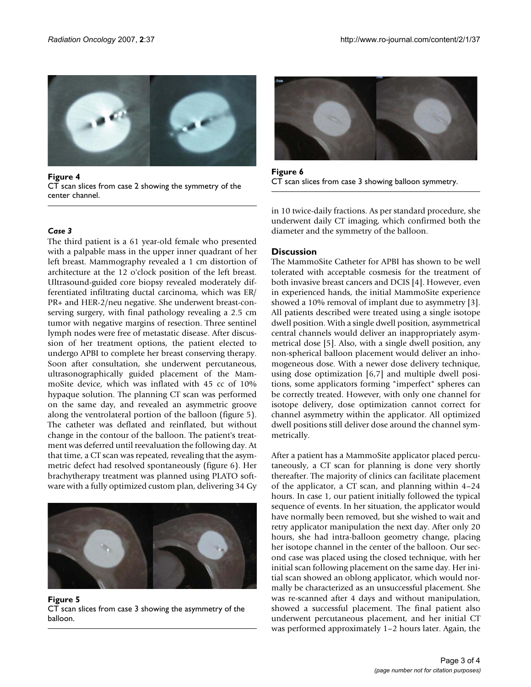

Figure 4<br>CT scan slices from case 3 showing balloon symmetry. CT scan slices from case 3 showing balloon symmetry. CT scan slices from case 2 showing the symmetry of the center channel.

#### *Case 3*

The third patient is a 61 year-old female who presented with a palpable mass in the upper inner quadrant of her left breast. Mammography revealed a 1 cm distortion of architecture at the 12 o'clock position of the left breast. Ultrasound-guided core biopsy revealed moderately differentiated infiltrating ductal carcinoma, which was ER/ PR+ and HER-2/neu negative. She underwent breast-conserving surgery, with final pathology revealing a 2.5 cm tumor with negative margins of resection. Three sentinel lymph nodes were free of metastatic disease. After discussion of her treatment options, the patient elected to undergo APBI to complete her breast conserving therapy. Soon after consultation, she underwent percutaneous, ultrasonographically guided placement of the MammoSite device, which was inflated with 45 cc of 10% hypaque solution. The planning CT scan was performed on the same day, and revealed an asymmetric groove along the ventrolateral portion of the balloon (figure 5). The catheter was deflated and reinflated, but without change in the contour of the balloon. The patient's treatment was deferred until reevaluation the following day. At that time, a CT scan was repeated, revealing that the asymmetric defect had resolved spontaneously (figure 6). Her brachytherapy treatment was planned using PLATO software with a fully optimized custom plan, delivering 34 Gy



Figure 5 CT scan slices from case 3 showing the asymmetry of the balloon.



Figure 6

in 10 twice-daily fractions. As per standard procedure, she underwent daily CT imaging, which confirmed both the diameter and the symmetry of the balloon.

#### **Discussion**

The MammoSite Catheter for APBI has shown to be well tolerated with acceptable cosmesis for the treatment of both invasive breast cancers and DCIS [4]. However, even in experienced hands, the initial MammoSite experience showed a 10% removal of implant due to asymmetry [3]. All patients described were treated using a single isotope dwell position. With a single dwell position, asymmetrical central channels would deliver an inappropriately asymmetrical dose [5]. Also, with a single dwell position, any non-spherical balloon placement would deliver an inhomogeneous dose. With a newer dose delivery technique, using dose optimization [6,7] and multiple dwell positions, some applicators forming "imperfect" spheres can be correctly treated. However, with only one channel for isotope delivery, dose optimization cannot correct for channel asymmetry within the applicator. All optimized dwell positions still deliver dose around the channel symmetrically.

After a patient has a MammoSite applicator placed percutaneously, a CT scan for planning is done very shortly thereafter. The majority of clinics can facilitate placement of the applicator, a CT scan, and planning within 4–24 hours. In case 1, our patient initially followed the typical sequence of events. In her situation, the applicator would have normally been removed, but she wished to wait and retry applicator manipulation the next day. After only 20 hours, she had intra-balloon geometry change, placing her isotope channel in the center of the balloon. Our second case was placed using the closed technique, with her initial scan following placement on the same day. Her initial scan showed an oblong applicator, which would normally be characterized as an unsuccessful placement. She was re-scanned after 4 days and without manipulation, showed a successful placement. The final patient also underwent percutaneous placement, and her initial CT was performed approximately 1–2 hours later. Again, the